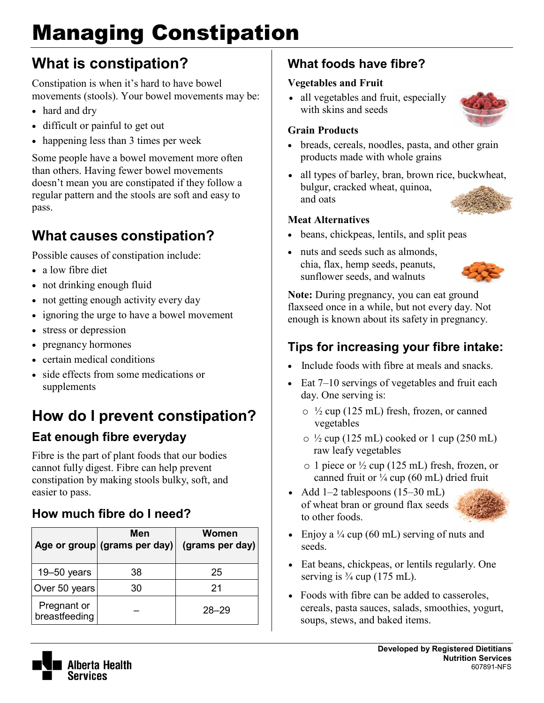# Managing Constipation

## **What is constipation?**

Constipation is when it's hard to have bowel movements (stools). Your bowel movements may be:

- hard and dry
- difficult or painful to get out
- happening less than 3 times per week

Some people have a bowel movement more often than others. Having fewer bowel movements doesn't mean you are constipated if they follow a regular pattern and the stools are soft and easy to pass.

### **What causes constipation?**

Possible causes of constipation include:

- a low fibre diet
- not drinking enough fluid
- not getting enough activity every day
- ignoring the urge to have a bowel movement
- stress or depression
- pregnancy hormones
- certain medical conditions
- side effects from some medications or supplements

## **How do I prevent constipation?**

#### **Eat enough fibre everyday**

Fibre is the part of plant foods that our bodies cannot fully digest. Fibre can help prevent constipation by making stools bulky, soft, and easier to pass.

#### **How much fibre do I need?**

|                              | Men<br>Age or group (grams per day) | <b>Women</b><br>(grams per day) |
|------------------------------|-------------------------------------|---------------------------------|
| $19 - 50$ years              | 38                                  | 25                              |
| Over 50 years                | 30                                  | 21                              |
| Pregnant or<br>breastfeeding |                                     | $28 - 29$                       |

#### **What foods have fibre?**

#### **Vegetables and Fruit**

• all vegetables and fruit, especially with skins and seeds

#### **Grain Products**

- breads, cereals, noodles, pasta, and other grain products made with whole grains
- all types of barley, bran, brown rice, buckwheat, bulgur, cracked wheat, quinoa, and oats

#### **Meat Alternatives**

- beans, chickpeas, lentils, and split peas
- nuts and seeds such as almonds, chia, flax, hemp seeds, peanuts, sunflower seeds, and walnuts



**Note:** During pregnancy, you can eat ground flaxseed once in a while, but not every day. Not enough is known about its safety in pregnancy.

#### **Tips for increasing your fibre intake:**

- Include foods with fibre at meals and snacks.
- Eat  $7-10$  servings of vegetables and fruit each day. One serving is:
	- $\circ$  <sup>1</sup>/<sub>2</sub> cup (125 mL) fresh, frozen, or canned vegetables
	- $\circ$  <sup>1</sup>/<sub>2</sub> cup (125 mL) cooked or 1 cup (250 mL) raw leafy vegetables
	- $\circ$  1 piece or  $\frac{1}{2}$  cup (125 mL) fresh, frozen, or canned fruit or  $\frac{1}{4}$  cup (60 mL) dried fruit
- Add 1–2 tablespoons (15–30 mL) of wheat bran or ground flax seeds to other foods.



- Enjoy a  $\frac{1}{4}$  cup (60 mL) serving of nuts and seeds.
- Eat beans, chickpeas, or lentils regularly. One serving is  $\frac{3}{4}$  cup (175 mL).
- Foods with fibre can be added to casseroles, cereals, pasta sauces, salads, smoothies, yogurt, soups, stews, and baked items.



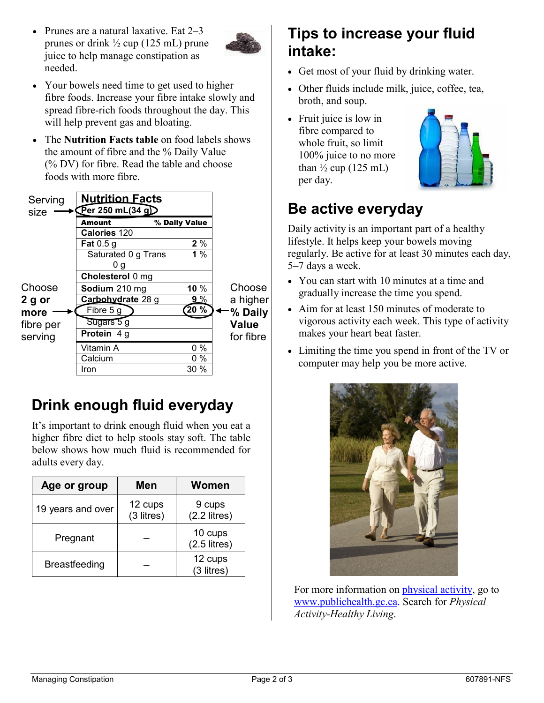• Prunes are a natural laxative. Eat 2–3 prunes or drink ½ cup (125 mL) prune juice to help manage constipation as needed.



- Your bowels need time to get used to higher fibre foods. Increase your fibre intake slowly and spread fibre-rich foods throughout the day. This will help prevent gas and bloating.
- The **Nutrition Facts table** on food labels shows the amount of fibre and the % Daily Value (% DV) for fibre. Read the table and choose foods with more fibre.

| % Daily Value<br>Amount<br>Calories 120<br>2%<br><b>Fat</b> 0.5 g<br>1 $%$<br>Saturated 0 g Trans<br>υg<br>Cholesterol 0 mg<br>Choose<br>Choose<br>10 $%$<br>Sodium 210 mg<br>Carbohydrate 28 g<br>$9\%$<br>2 g or<br>20%<br>Fibre 5 g<br>-% Daily<br>more<br>Sugars 5 g<br><b>Value</b><br>fibre per<br>Protein 4 g<br>for fibre<br>serving<br>$0\%$<br>Vitamin A<br>Calcium<br>$0\%$ | Serving<br>size | <b>Nutrition Facts</b><br>$\widehat{\mathrm{Per}}$ 250 mL(34 g) $\widehat{\phantom{operatorname{Per}}$ |        |          |
|----------------------------------------------------------------------------------------------------------------------------------------------------------------------------------------------------------------------------------------------------------------------------------------------------------------------------------------------------------------------------------------|-----------------|--------------------------------------------------------------------------------------------------------|--------|----------|
|                                                                                                                                                                                                                                                                                                                                                                                        |                 |                                                                                                        |        |          |
|                                                                                                                                                                                                                                                                                                                                                                                        |                 |                                                                                                        |        |          |
|                                                                                                                                                                                                                                                                                                                                                                                        |                 |                                                                                                        |        |          |
|                                                                                                                                                                                                                                                                                                                                                                                        |                 |                                                                                                        |        |          |
|                                                                                                                                                                                                                                                                                                                                                                                        |                 |                                                                                                        |        |          |
|                                                                                                                                                                                                                                                                                                                                                                                        |                 |                                                                                                        |        |          |
|                                                                                                                                                                                                                                                                                                                                                                                        |                 |                                                                                                        |        |          |
|                                                                                                                                                                                                                                                                                                                                                                                        |                 |                                                                                                        |        | a higher |
|                                                                                                                                                                                                                                                                                                                                                                                        |                 |                                                                                                        |        |          |
|                                                                                                                                                                                                                                                                                                                                                                                        |                 |                                                                                                        |        |          |
|                                                                                                                                                                                                                                                                                                                                                                                        |                 |                                                                                                        |        |          |
|                                                                                                                                                                                                                                                                                                                                                                                        |                 |                                                                                                        |        |          |
|                                                                                                                                                                                                                                                                                                                                                                                        |                 |                                                                                                        |        |          |
|                                                                                                                                                                                                                                                                                                                                                                                        |                 | Iron                                                                                                   | $30\%$ |          |

#### **Drink enough fluid everyday**

It's important to drink enough fluid when you eat a higher fibre diet to help stools stay soft. The table below shows how much fluid is recommended for adults every day.

| Age or group         | Men                   | <b>Women</b>              |  |
|----------------------|-----------------------|---------------------------|--|
| 19 years and over    | 12 cups<br>(3 litres) | 9 cups<br>$(2.2$ litres)  |  |
| Pregnant             |                       | 10 cups<br>$(2.5$ litres) |  |
| <b>Breastfeeding</b> |                       | 12 cups<br>(3 litres)     |  |

#### **Tips to increase your fluid intake:**

- Get most of your fluid by drinking water.
- Other fluids include milk, juice, coffee, tea, broth, and soup.
- Fruit juice is low in fibre compared to whole fruit, so limit 100% juice to no more than  $\frac{1}{2}$  cup (125 mL) per day.



### **Be active everyday**

Daily activity is an important part of a healthy lifestyle. It helps keep your bowels moving regularly. Be active for at least 30 minutes each day, 5–7 days a week.

- You can start with 10 minutes at a time and gradually increase the time you spend.
- Aim for at least 150 minutes of moderate to vigorous activity each week. This type of activity makes your heart beat faster.
- Limiting the time you spend in front of the TV or computer may help you be more active.



For more information on [physical activity,](http://www.phac-aspc.gc.ca/hp-ps/hl-mvs/pa-ap/index-eng.php) go to [www.publichealth.gc.ca.](http://www.publichealth.gc.ca./) Search for *Physical Activity-Healthy Living*.